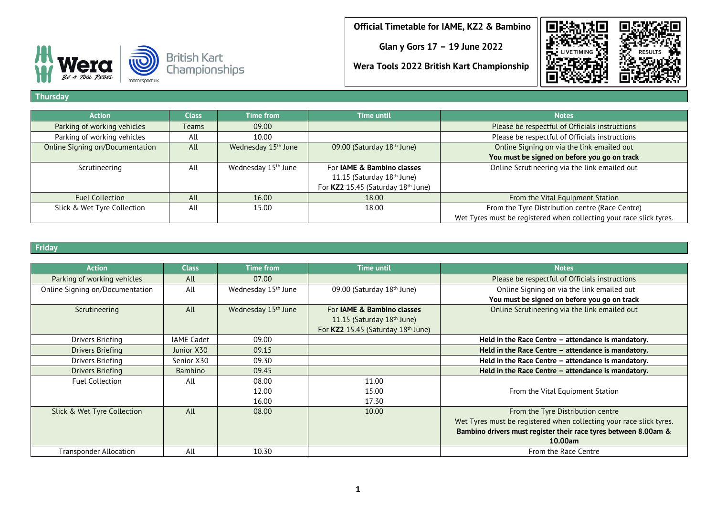**Glan y Gors 17 – 19 June 2022**





**Wera Tools 2022 British Kart Championship**

#### **Thursday**

| <b>Action</b>                   | <b>Class</b> | Time from                       | <b>Time until</b>                     | <b>Notes</b>                                                        |
|---------------------------------|--------------|---------------------------------|---------------------------------------|---------------------------------------------------------------------|
| Parking of working vehicles     | <b>Teams</b> | 09.00                           |                                       | Please be respectful of Officials instructions                      |
| Parking of working vehicles     | All          | 10.00                           |                                       | Please be respectful of Officials instructions                      |
| Online Signing on/Documentation | All          | Wednesday 15 <sup>th</sup> June | 09.00 (Saturday 18th June)            | Online Signing on via the link emailed out                          |
|                                 |              |                                 |                                       | You must be signed on before you go on track                        |
| Scrutineering                   | All          | Wednesday 15 <sup>th</sup> June | For <b>JAME &amp; Bambino classes</b> | Online Scrutineering via the link emailed out                       |
|                                 |              |                                 | 11.15 (Saturday 18th June)            |                                                                     |
|                                 |              |                                 | For KZ2 15.45 (Saturday 18th June)    |                                                                     |
| <b>Fuel Collection</b>          | All          | 16.00                           | 18.00                                 | From the Vital Equipment Station                                    |
| Slick & Wet Tyre Collection     | All          | 15.00                           | 18.00                                 | From the Tyre Distribution centre (Race Centre)                     |
|                                 |              |                                 |                                       | Wet Tyres must be registered when collecting your race slick tyres. |

### **Friday**

| <b>Action</b>                   | <b>Class</b>      | <b>Time from</b>                | Time until                             | <b>Notes</b>                                                        |
|---------------------------------|-------------------|---------------------------------|----------------------------------------|---------------------------------------------------------------------|
| Parking of working vehicles     | All               | 07.00                           |                                        | Please be respectful of Officials instructions                      |
| Online Signing on/Documentation | All               | Wednesday 15 <sup>th</sup> June | 09.00 (Saturday 18 <sup>th</sup> June) | Online Signing on via the link emailed out                          |
|                                 |                   |                                 |                                        | You must be signed on before you go on track                        |
| Scrutineering                   | All               | Wednesday 15 <sup>th</sup> June | For <b>JAME &amp; Bambino classes</b>  | Online Scrutineering via the link emailed out                       |
|                                 |                   |                                 | 11.15 (Saturday 18 <sup>th</sup> June) |                                                                     |
|                                 |                   |                                 | For KZ2 15.45 (Saturday 18th June)     |                                                                     |
| Drivers Briefing                | <b>IAME Cadet</b> | 09.00                           |                                        | Held in the Race Centre - attendance is mandatory.                  |
| <b>Drivers Briefing</b>         | Junior X30        | 09.15                           |                                        | Held in the Race Centre - attendance is mandatory.                  |
| Drivers Briefing                | Senior X30        | 09.30                           |                                        | Held in the Race Centre - attendance is mandatory.                  |
| Drivers Briefing                | <b>Bambino</b>    | 09.45                           |                                        | Held in the Race Centre - attendance is mandatory.                  |
| <b>Fuel Collection</b>          | All               | 08.00                           | 11.00                                  |                                                                     |
|                                 |                   | 12.00                           | 15.00                                  | From the Vital Equipment Station                                    |
|                                 |                   | 16.00                           | 17.30                                  |                                                                     |
| Slick & Wet Tyre Collection     | All               | 08.00                           | 10.00                                  | From the Tyre Distribution centre                                   |
|                                 |                   |                                 |                                        | Wet Tyres must be registered when collecting your race slick tyres. |
|                                 |                   |                                 |                                        | Bambino drivers must register their race tyres between 8.00am &     |
|                                 |                   |                                 |                                        | 10.00am                                                             |
| Transponder Allocation          | All               | 10.30                           |                                        | From the Race Centre                                                |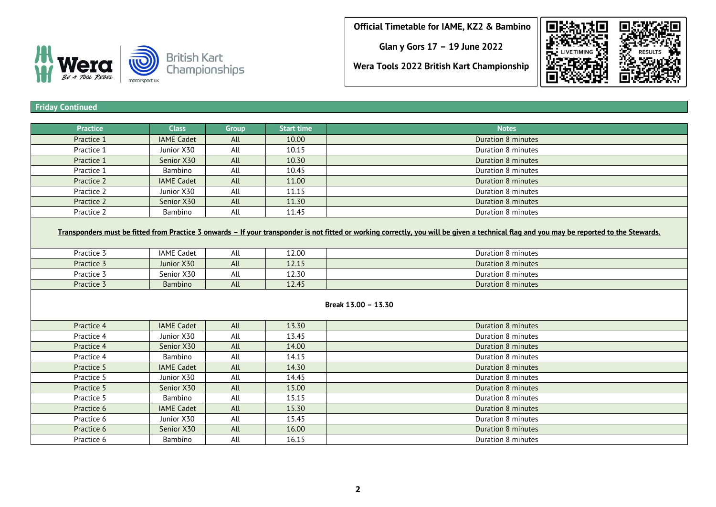**Glan y Gors 17 – 19 June 2022**

E



# **Wera Tools 2022 British Kart Championship**

## **Friday Continued**

| <b>Practice</b> | <b>Class</b>        | Group | <b>Start time</b> | <b>Notes</b>                                                                                                                                                                              |  |  |  |
|-----------------|---------------------|-------|-------------------|-------------------------------------------------------------------------------------------------------------------------------------------------------------------------------------------|--|--|--|
| Practice 1      | <b>IAME Cadet</b>   | All   | 10.00             | Duration 8 minutes                                                                                                                                                                        |  |  |  |
| Practice 1      | Junior X30          | All   | 10.15             | Duration 8 minutes                                                                                                                                                                        |  |  |  |
| Practice 1      | Senior X30          | All   | 10.30             | Duration 8 minutes                                                                                                                                                                        |  |  |  |
| Practice 1      | Bambino             | All   | 10.45             | Duration 8 minutes                                                                                                                                                                        |  |  |  |
| Practice 2      | <b>IAME Cadet</b>   | All   | 11.00             | Duration 8 minutes                                                                                                                                                                        |  |  |  |
| Practice 2      | Junior X30          | All   | 11.15             | Duration 8 minutes                                                                                                                                                                        |  |  |  |
| Practice 2      | Senior X30          | All   | 11.30             | Duration 8 minutes                                                                                                                                                                        |  |  |  |
| Practice 2      | Bambino             | All   | 11.45             | Duration 8 minutes                                                                                                                                                                        |  |  |  |
|                 |                     |       |                   | Transponders must be fitted from Practice 3 onwards - If your transponder is not fitted or working correctly, you will be given a technical flag and you may be reported to the Stewards. |  |  |  |
| Practice 3      | <b>IAME Cadet</b>   | All   | 12.00             | Duration 8 minutes                                                                                                                                                                        |  |  |  |
| Practice 3      | Junior X30          | All   | 12.15             | <b>Duration 8 minutes</b>                                                                                                                                                                 |  |  |  |
| Practice 3      | Senior X30          | All   | 12.30             | Duration 8 minutes                                                                                                                                                                        |  |  |  |
| Practice 3      | <b>Bambino</b>      | All   | 12.45             | <b>Duration 8 minutes</b>                                                                                                                                                                 |  |  |  |
|                 | Break 13.00 - 13.30 |       |                   |                                                                                                                                                                                           |  |  |  |
| Practice 4      | <b>IAME Cadet</b>   | All   | 13.30             | <b>Duration 8 minutes</b>                                                                                                                                                                 |  |  |  |
| Practice 4      | Junior X30          | All   | 13.45             | Duration 8 minutes                                                                                                                                                                        |  |  |  |
| Practice 4      | Senior X30          | All   | 14.00             | Duration 8 minutes                                                                                                                                                                        |  |  |  |
| Practice 4      | Bambino             | All   | 14.15             | Duration 8 minutes                                                                                                                                                                        |  |  |  |
| Practice 5      | <b>IAME Cadet</b>   | All   | 14.30             | Duration 8 minutes                                                                                                                                                                        |  |  |  |
| Practice 5      | Junior X30          | All   | 14.45             | Duration 8 minutes                                                                                                                                                                        |  |  |  |
| Practice 5      | Senior X30          | All   | 15.00             | <b>Duration 8 minutes</b>                                                                                                                                                                 |  |  |  |
| Practice 5      | Bambino             | All   | 15.15             | Duration 8 minutes                                                                                                                                                                        |  |  |  |
| Practice 6      | <b>IAME Cadet</b>   | All   | 15.30             | <b>Duration 8 minutes</b>                                                                                                                                                                 |  |  |  |
| Practice 6      | Junior X30          | All   | 15.45             | Duration 8 minutes                                                                                                                                                                        |  |  |  |
| Practice 6      | Senior X30          | All   | 16.00             | Duration 8 minutes                                                                                                                                                                        |  |  |  |
| Practice 6      | <b>Bambino</b>      | All   | 16.15             | Duration 8 minutes                                                                                                                                                                        |  |  |  |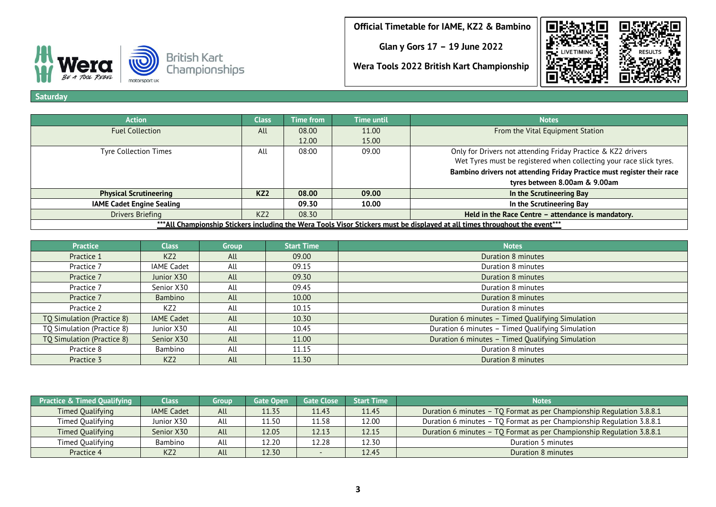**Glan y Gors 17 – 19 June 2022**

**Wera Tools 2022 British Kart Championship**



BE A TOOL REBEL motorsport uk

**Saturday**

| <b>Action</b>                                                                                                               | <b>Class</b>    | <b>Time from</b> | <b>Time until</b> | <b>Notes</b>                                                           |  |  |
|-----------------------------------------------------------------------------------------------------------------------------|-----------------|------------------|-------------------|------------------------------------------------------------------------|--|--|
| <b>Fuel Collection</b>                                                                                                      | All             | 08.00            | 11.00             | From the Vital Equipment Station                                       |  |  |
|                                                                                                                             |                 | 12.00            | 15.00             |                                                                        |  |  |
| <b>Tyre Collection Times</b>                                                                                                | All             | 08:00            | 09.00             | Only for Drivers not attending Friday Practice & KZ2 drivers           |  |  |
|                                                                                                                             |                 |                  |                   | Wet Tyres must be registered when collecting your race slick tyres.    |  |  |
|                                                                                                                             |                 |                  |                   | Bambino drivers not attending Friday Practice must register their race |  |  |
|                                                                                                                             |                 |                  |                   | tyres between 8.00am & 9.00am                                          |  |  |
| <b>Physical Scrutineering</b>                                                                                               | KZ2             | 08.00            | 09.00             | In the Scrutineering Bay                                               |  |  |
| <b>IAME Cadet Engine Sealing</b>                                                                                            |                 | 09.30            | 10.00             | In the Scrutineering Bay                                               |  |  |
| Drivers Briefing                                                                                                            | KZ <sub>2</sub> | 08.30            |                   | Held in the Race Centre - attendance is mandatory.                     |  |  |
| ***All Championship Stickers including the Wera Tools Visor Stickers must be displayed at all times throughout the event*** |                 |                  |                   |                                                                        |  |  |

| <b>Practice</b>            | <b>Class</b>      | <b>Group</b> | <b>Start Time</b> | <b>Notes</b>                                     |
|----------------------------|-------------------|--------------|-------------------|--------------------------------------------------|
| Practice 1                 | KZ <sub>2</sub>   | All          | 09.00             | Duration 8 minutes                               |
| Practice 7                 | <b>IAME Cadet</b> | All          | 09.15             | Duration 8 minutes                               |
| Practice 7                 | Junior X30        | All          | 09.30             | Duration 8 minutes                               |
| Practice 7                 | Senior X30        | All          | 09.45             | Duration 8 minutes                               |
| Practice 7                 | <b>Bambino</b>    | All          | 10.00             | Duration 8 minutes                               |
| Practice 2                 | KZ <sub>2</sub>   | All          | 10.15             | Duration 8 minutes                               |
| TQ Simulation (Practice 8) | <b>IAME Cadet</b> | All          | 10.30             | Duration 6 minutes - Timed Qualifying Simulation |
| TQ Simulation (Practice 8) | Junior X30        | All          | 10.45             | Duration 6 minutes - Timed Qualifying Simulation |
| TQ Simulation (Practice 8) | Senior X30        | All          | 11.00             | Duration 6 minutes - Timed Qualifying Simulation |
| Practice 8                 | Bambino           | All          | 11.15             | Duration 8 minutes                               |
| Practice 3                 | KZ <sub>2</sub>   | All          | 11.30             | Duration 8 minutes                               |

| <b>Practice &amp; Timed Qualifying</b> | Class             | Group | <b>Gate Open</b> | <b>Gate Close</b> | <b>Start Time</b> | <b>Notes</b>                                                          |
|----------------------------------------|-------------------|-------|------------------|-------------------|-------------------|-----------------------------------------------------------------------|
| <b>Timed Oualifying</b>                | <b>IAME Cadet</b> | All   | 11.35            | 11.43             | 11.45             | Duration 6 minutes - TQ Format as per Championship Regulation 3.8.8.1 |
| Timed Qualifying                       | Junior X30        | All   | 11.50            | 11.58             | 12.00             | Duration 6 minutes - TQ Format as per Championship Regulation 3.8.8.1 |
| Timed Qualifying                       | Senior X30        | All   | 12.05            | 12.13             | 12.15             | Duration 6 minutes - TQ Format as per Championship Regulation 3.8.8.1 |
| Timed Qualifying                       | Bambino           | All   | 12.20            | 12.28             | 12.30             | Duration 5 minutes                                                    |
| Practice 4                             | KZ <sub>2</sub>   | All   | 12.30            |                   | 12.45             | Duration 8 minutes                                                    |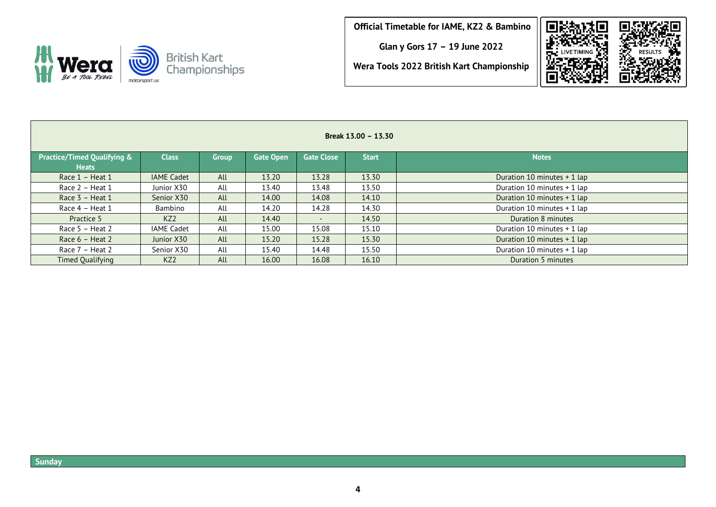**Glan y Gors 17 – 19 June 2022**



**Wera Tools 2022 British Kart Championship**

| Break 13.00 - 13.30                         |                   |       |                  |                   |              |                             |  |  |
|---------------------------------------------|-------------------|-------|------------------|-------------------|--------------|-----------------------------|--|--|
| Practice/Timed Qualifying &<br><b>Heats</b> | <b>Class</b>      | Group | <b>Gate Open</b> | <b>Gate Close</b> | <b>Start</b> | <b>Notes</b>                |  |  |
| Race 1 - Heat 1                             | <b>IAME Cadet</b> | All   | 13.20            | 13.28             | 13.30        | Duration 10 minutes + 1 lap |  |  |
| Race $2$ – Heat 1                           | Junior X30        | All   | 13.40            | 13.48             | 13.50        | Duration 10 minutes + 1 lap |  |  |
| Race $3$ – Heat 1                           | Senior X30        | All   | 14.00            | 14.08             | 14.10        | Duration 10 minutes + 1 lap |  |  |
| Race 4 - Heat 1                             | Bambino           | All   | 14.20            | 14.28             | 14.30        | Duration 10 minutes + 1 lap |  |  |
| Practice 5                                  | KZ <sub>2</sub>   | All   | 14.40            | $\sim$            | 14.50        | Duration 8 minutes          |  |  |
| Race 5 - Heat 2                             | <b>IAME Cadet</b> | All   | 15.00            | 15.08             | 15.10        | Duration 10 minutes + 1 lap |  |  |
| Race $6$ – Heat 2                           | Junior X30        | All   | 15.20            | 15.28             | 15.30        | Duration 10 minutes + 1 lap |  |  |
| Race $7$ – Heat 2                           | Senior X30        | All   | 15.40            | 14.48             | 15.50        | Duration 10 minutes + 1 lap |  |  |
| Timed Qualifying                            | KZ <sub>2</sub>   | All   | 16.00            | 16.08             | 16.10        | Duration 5 minutes          |  |  |